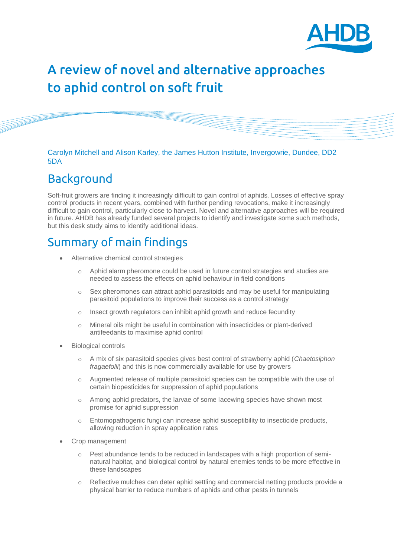

# A review of novel and alternative approaches to aphid control on soft fruit

Carolyn Mitchell and Alison Karley, the James Hutton Institute, Invergowrie, Dundee, DD2 5DA

# Background

Soft-fruit growers are finding it increasingly difficult to gain control of aphids. Losses of effective spray control products in recent years, combined with further pending revocations, make it increasingly difficult to gain control, particularly close to harvest. Novel and alternative approaches will be required in future. AHDB has already funded several projects to identify and investigate some such methods, but this desk study aims to identify additional ideas.

# Summary of main findings

- Alternative chemical control strategies
	- o Aphid alarm pheromone could be used in future control strategies and studies are needed to assess the effects on aphid behaviour in field conditions
	- $\circ$  Sex pheromones can attract aphid parasitoids and may be useful for manipulating parasitoid populations to improve their success as a control strategy
	- o Insect growth regulators can inhibit aphid growth and reduce fecundity
	- o Mineral oils might be useful in combination with insecticides or plant-derived antifeedants to maximise aphid control
- Biological controls
	- o A mix of six parasitoid species gives best control of strawberry aphid (*Chaetosiphon fragaefolii*) and this is now commercially available for use by growers
	- o Augmented release of multiple parasitoid species can be compatible with the use of certain biopesticides for suppression of aphid populations
	- o Among aphid predators, the larvae of some lacewing species have shown most promise for aphid suppression
	- o Entomopathogenic fungi can increase aphid susceptibility to insecticide products, allowing reduction in spray application rates
- Crop management
	- o Pest abundance tends to be reduced in landscapes with a high proportion of seminatural habitat, and biological control by natural enemies tends to be more effective in these landscapes
	- Reflective mulches can deter aphid settling and commercial netting products provide a physical barrier to reduce numbers of aphids and other pests in tunnels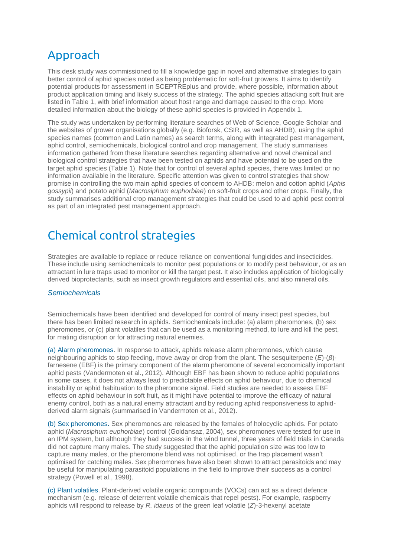# Approach

This desk study was commissioned to fill a knowledge gap in novel and alternative strategies to gain better control of aphid species noted as being problematic for soft-fruit growers. It aims to identify potential products for assessment in SCEPTREplus and provide, where possible, information about product application timing and likely success of the strategy. The aphid species attacking soft fruit are listed in Table 1, with brief information about host range and damage caused to the crop. More detailed information about the biology of these aphid species is provided in Appendix 1.

The study was undertaken by performing literature searches of Web of Science, Google Scholar and the websites of grower organisations globally (e.g. Bioforsk, CSIR, as well as AHDB), using the aphid species names (common and Latin names) as search terms, along with integrated pest management, aphid control, semiochemicals, biological control and crop management. The study summarises information gathered from these literature searches regarding alternative and novel chemical and biological control strategies that have been tested on aphids and have potential to be used on the target aphid species (Table 1). Note that for control of several aphid species, there was limited or no information available in the literature. Specific attention was given to control strategies that show promise in controlling the two main aphid species of concern to AHDB: melon and cotton aphid (*Aphis gossypii*) and potato aphid (*Macrosiphum euphorbiae*) on soft-fruit crops and other crops. Finally, the study summarises additional crop management strategies that could be used to aid aphid pest control as part of an integrated pest management approach.

# Chemical control strategies

Strategies are available to replace or reduce reliance on conventional fungicides and insecticides. These include using semiochemicals to monitor pest populations or to modify pest behaviour, or as an attractant in lure traps used to monitor or kill the target pest. It also includes application of biologically derived bioprotectants, such as insect growth regulators and essential oils, and also mineral oils.

### *Semiochemicals*

Semiochemicals have been identified and developed for control of many insect pest species, but there has been limited research in aphids. Semiochemicals include: (a) alarm pheromones, (b) sex pheromones, or (c) plant volatiles that can be used as a monitoring method, to lure and kill the pest, for mating disruption or for attracting natural enemies.

(a) Alarm pheromones. In response to attack, aphids release alarm pheromones, which cause neighbouring aphids to stop feeding, move away or drop from the plant. The sesquiterpene (*E*)-(*β*) farnesene (EBF) is the primary component of the alarm pheromone of several economically important aphid pests (Vandermoten et al., 2012). Although EBF has been shown to reduce aphid populations in some cases, it does not always lead to predictable effects on aphid behaviour, due to chemical instability or aphid habituation to the pheromone signal. Field studies are needed to assess EBF effects on aphid behaviour in soft fruit, as it might have potential to improve the efficacy of natural enemy control, both as a natural enemy attractant and by reducing aphid responsiveness to aphidderived alarm signals (summarised in Vandermoten et al., 2012).

(b) Sex pheromones. Sex pheromones are released by the females of holocyclic aphids. For potato aphid (*Macrosiphum euphorbiae*) control (Goldansaz, 2004), sex pheromones were tested for use in an IPM system, but although they had success in the wind tunnel, three years of field trials in Canada did not capture many males. The study suggested that the aphid population size was too low to capture many males, or the pheromone blend was not optimised, or the trap placement wasn't optimised for catching males. Sex pheromones have also been shown to attract parasitoids and may be useful for manipulating parasitoid populations in the field to improve their success as a control strategy (Powell et al., 1998).

(c) Plant volatiles. Plant-derived volatile organic compounds (VOCs) can act as a direct defence mechanism (e.g. release of deterrent volatile chemicals that repel pests). For example, raspberry aphids will respond to release by *R. idaeus* of the green leaf volatile (*Z*)-3-hexenyl acetate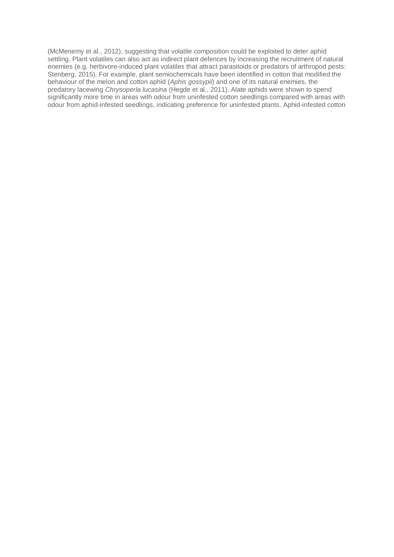(McMenemy et al., 2012), suggesting that volatile composition could be exploited to deter aphid settling. Plant volatiles can also act as indirect plant defences by increasing the recruitment of natural enemies (e.g. herbivore-induced plant volatiles that attract parasitoids or predators of arthropod pests: Stenberg, 2015). For example, plant semiochemicals have been identified in cotton that modified the behaviour of the melon and cotton aphid (*Aphis gossypii*) and one of its natural enemies, the predatory lacewing *Chrysoperla lucasina* (Hegde et al., 2011). Alate aphids were shown to spend significantly more time in areas with odour from uninfested cotton seedlings compared with areas with odour from aphid-infested seedlings, indicating preference for uninfested plants. Aphid-infested cotton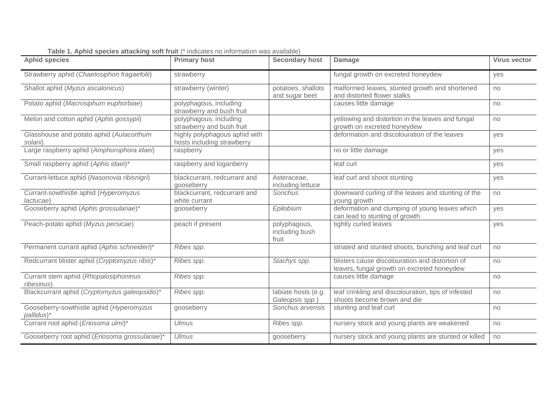| <b>Aphid species</b>                                   | <b>Primary host</b>                                         | Secondary host                          | <b>Damage</b>                                                                                 | <b>Virus vector</b> |
|--------------------------------------------------------|-------------------------------------------------------------|-----------------------------------------|-----------------------------------------------------------------------------------------------|---------------------|
| Strawberry aphid (Chaetosiphon fragaefolii)            | strawberry                                                  |                                         | fungal growth on excreted honeydew                                                            | yes                 |
| Shallot aphid (Myzus ascalonicus)                      | strawberry (winter)                                         | potatoes, shallots<br>and sugar beet    | malformed leaves, stunted growth and shortened<br>and distorted flower stalks                 | no                  |
| Potato aphid (Macrosiphum euphorbiae)                  | polyphagous, including<br>strawberry and bush fruit         |                                         | causes little damage                                                                          | no                  |
| Melon and cotton aphid (Aphis gossypii)                | polyphagous, including<br>strawberry and bush fruit         |                                         | yellowing and distortion in the leaves and fungal<br>growth on excreted honeydew              | no                  |
| Glasshouse and potato aphid (Aulacorthum<br>solani)    | highly polyphagous aphid with<br>hosts including strawberry |                                         | deformation and discolouration of the leaves                                                  | yes                 |
| Large raspberry aphid (Amphorophora idaei)             | raspberry                                                   |                                         | no or little damage                                                                           | yes                 |
| Small raspberry aphid (Aphis idaei)*                   | raspberry and loganberry                                    |                                         | leaf curl                                                                                     | yes                 |
| Currant-lettuce aphid (Nasonovia ribisnigri)           | blackcurrant, redcurrant and<br>gooseberry                  | Asteraceae,<br>including lettuce        | leaf curl and shoot stunting                                                                  | yes                 |
| Currant-sowthistle aphid (Hyperomyzus<br>lactucae)     | blackcurrant, redcurrant and<br>white currant               | Sonchus                                 | downward curling of the leaves and stunting of the<br>young growth                            | no                  |
| Gooseberry aphid (Aphis grossulariae)*                 | gooseberry                                                  | Epilobium                               | deformation and clumping of young leaves which<br>can lead to stunting of growth              | ves                 |
| Peach-potato aphid (Myzus persicae)                    | peach if present                                            | polyphagous,<br>including bush<br>fruit | tightly curled leaves                                                                         | yes                 |
| Permanent currant aphid (Aphis schneideri)*            | Ribes spp.                                                  |                                         | striated and stunted shoots, bunching and leaf curl                                           | no                  |
| Redcurrant blister aphid (Cryptomyzus ribis)*          | Ribes spp.                                                  | Stachys spp.                            | blisters cause discolouration and distortion of<br>leaves, fungal growth on excreted honeydew | no                  |
| Currant stem aphid (Rhopalosiphoninus<br>ribesinus)    | Ribes spp.                                                  |                                         | causes little damage                                                                          | no                  |
| Blackcurrant aphid (Cryptomyzus galeopsidis)*          | Ribes spp.                                                  | labiate hosts (e.g.<br>Galeopsis spp.)  | leaf crinkling and discolouration, tips of infested<br>shoots become brown and die            | no                  |
| Gooseberry-sowthistle aphid (Hyperomyzus<br>pallidus)* | gooseberry                                                  | Sonchus arvensis                        | stunting and leaf curl                                                                        | no                  |
| Currant root aphid (Eriosoma ulmi)*                    | <b>Ulmus</b>                                                | Ribes spp.                              | nursery stock and young plants are weakened                                                   | no                  |
| Gooseberry root aphid (Eriosoma grossulariae)*         | <b>Ulmus</b>                                                | gooseberry                              | nursery stock and young plants are stunted or killed                                          | no                  |

**Table 1. Aphid species attacking soft fruit** (\* indicates no information was available)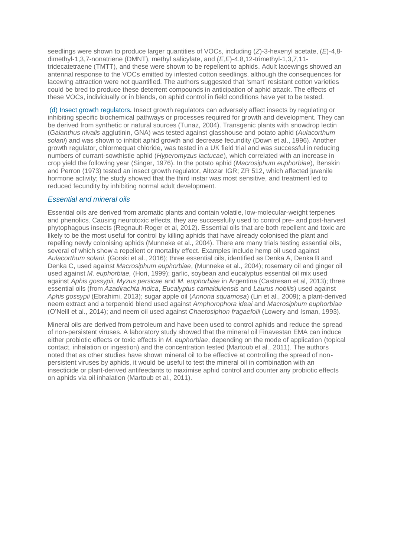seedlings were shown to produce larger quantities of VOCs, including (*Z*)-3-hexenyl acetate, (*E*)-4,8 dimethyl-1,3,7-nonatriene (DMNT), methyl salicylate, and (*E,E*)-4,8,12-trimethyl-1,3,7,11 tridecatetraene (TMTT), and these were shown to be repellent to aphids. Adult lacewings showed an antennal response to the VOCs emitted by infested cotton seedlings, although the consequences for lacewing attraction were not quantified. The authors suggested that 'smart' resistant cotton varieties could be bred to produce these deterrent compounds in anticipation of aphid attack. The effects of these VOCs, individually or in blends, on aphid control in field conditions have yet to be tested.

(d) Insect growth regulators*.* Insect growth regulators can adversely affect insects by regulating or inhibiting specific biochemical pathways or processes required for growth and development. They can be derived from synthetic or natural sources (Tunaz, 2004). Transgenic plants with snowdrop lectin (*Galanthus nivalis* agglutinin, GNA) was tested against glasshouse and potato aphid (*Aulacorthum solani*) and was shown to inhibit aphid growth and decrease fecundity (Down et al., 1996). Another growth regulator, chlormequat chloride, was tested in a UK field trial and was successful in reducing numbers of currant-sowthistle aphid (*Hyperomyzus lactucae*), which correlated with an increase in crop yield the following year (Singer, 1976). In the potato aphid (*Macrosiphum euphorbiae*), Benskin and Perron (1973) tested an insect growth regulator, Altozar IGR; ZR 512, which affected juvenile hormone activity; the study showed that the third instar was most sensitive, and treatment led to reduced fecundity by inhibiting normal adult development.

# *Essential and mineral oils*

Essential oils are derived from aromatic plants and contain volatile, low-molecular-weight terpenes and phenolics. Causing neurotoxic effects, they are successfully used to control pre- and post-harvest phytophagous insects (Regnault-Roger et al, 2012). Essential oils that are both repellent and toxic are likely to be the most useful for control by killing aphids that have already colonised the plant and repelling newly colonising aphids (Munneke et al., 2004). There are many trials testing essential oils, several of which show a repellent or mortality effect. Examples include hemp oil used against *Aulacorthum solani*, (Gorski et al., 2016); three essential oils, identified as Denka A, Denka B and Denka C, used against *Macrosiphum euphorbiae*, (Munneke et al., 2004); rosemary oil and ginger oil used against *M. euphorbiae,* (Hori, 1999); garlic, soybean and eucalyptus essential oil mix used against *Aphis gossypii*, *Myzus persicae* and *M. euphorbiae* in Argentina (Castresan et al, 2013); three essential oils (from *Azadirachta indica*, *Eucalyptus camaldulensis* and *Laurus nobilis*) used against *Aphis gossypii* (Ebrahimi, 2013); sugar apple oil (*Annona squamosa*) (Lin et al., 2009); a plant-derived neem extract and a terpenoid blend used against *Amphorophora ideai* and *Macrosiphum euphorbiae* (O'Neill et al., 2014); and neem oil used against *Chaetosiphon fragaefolii* (Lowery and Isman, 1993).

Mineral oils are derived from petroleum and have been used to control aphids and reduce the spread of non-persistent viruses. A laboratory study showed that the mineral oil Finavestan EMA can induce either probiotic effects or toxic effects in *M. euphorbiae*, depending on the mode of application (topical contact, inhalation or ingestion) and the concentration tested (Martoub et al., 2011). The authors noted that as other studies have shown mineral oil to be effective at controlling the spread of nonpersistent viruses by aphids, it would be useful to test the mineral oil in combination with an insecticide or plant-derived antifeedants to maximise aphid control and counter any probiotic effects on aphids via oil inhalation (Martoub et al., 2011).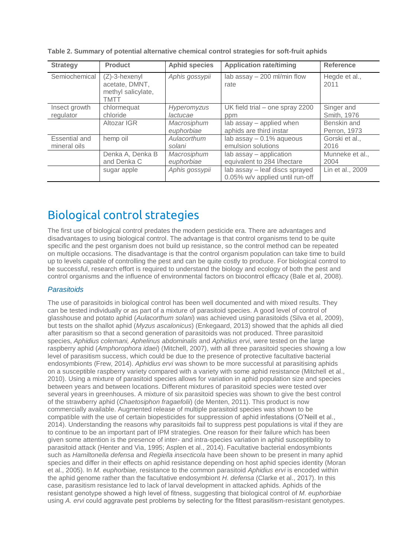| <b>Strategy</b>               | <b>Product</b>                                                   | <b>Aphid species</b>      | <b>Application rate/timing</b>                                    | <b>Reference</b>            |
|-------------------------------|------------------------------------------------------------------|---------------------------|-------------------------------------------------------------------|-----------------------------|
| Semiochemical                 | $(Z)-3$ -hexenyl<br>acetate, DMNT,<br>methyl salicylate,<br>TMTT | Aphis gossypii            | lab assay - 200 ml/min flow<br>rate                               | Hegde et al.,<br>2011       |
| Insect growth<br>regulator    | chlormequat<br>chloride                                          | Hyperomyzus<br>lactucae   | UK field trial – one spray 2200<br>ppm                            | Singer and<br>Smith, 1976   |
|                               | Altozar IGR                                                      | Macrosiphum<br>euphorbiae | lab assay - applied when<br>aphids are third instar               | Benskin and<br>Perron, 1973 |
| Essential and<br>mineral oils | hemp oil                                                         | Aulacorthum<br>solani     | lab assay $-0.1\%$ aqueous<br>emulsion solutions                  | Gorski et al.,<br>2016      |
|                               | Denka A, Denka B<br>and Denka C                                  | Macrosiphum<br>euphorbiae | lab assay - application<br>equivalent to 284 l/hectare            | Munneke et al.,<br>2004     |
|                               | sugar apple                                                      | Aphis gossypii            | lab assay - leaf discs sprayed<br>0.05% w/v applied until run-off | Lin et al., 2009            |

**Table 2. Summary of potential alternative chemical control strategies for soft-fruit aphids**

# Biological control strategies

The first use of biological control predates the modern pesticide era. There are advantages and disadvantages to using biological control. The advantage is that control organisms tend to be quite specific and the pest organism does not build up resistance, so the control method can be repeated on multiple occasions. The disadvantage is that the control organism population can take time to build up to levels capable of controlling the pest and can be quite costly to produce. For biological control to be successful, research effort is required to understand the biology and ecology of both the pest and control organisms and the influence of environmental factors on biocontrol efficacy (Bale et al, 2008).

# *Parasitoids*

The use of parasitoids in biological control has been well documented and with mixed results. They can be tested individually or as part of a mixture of parasitoid species. A good level of control of glasshouse and potato aphid (*Aulacorthum solani*) was achieved using parasitoids (Silva et al, 2009), but tests on the shallot aphid (*Myzus ascalonicus*) (Enkegaard, 2013) showed that the aphids all died after parasitism so that a second generation of parasitoids was not produced. Three parasitoid species, *Aphidius colemani, Aphelinus abdominalis* and *Aphidius ervi*, were tested on the large raspberry aphid (*Amphorophora idaei*) (Mitchell, 2007), with all three parasitoid species showing a low level of parasitism success, which could be due to the presence of protective facultative bacterial endosymbionts (Frew, 2014). *Aphidius ervi* was shown to be more successful at parasitising aphids on a susceptible raspberry variety compared with a variety with some aphid resistance (Mitchell et al., 2010). Using a mixture of parasitoid species allows for variation in aphid population size and species between years and between locations. Different mixtures of parasitoid species were tested over several years in greenhouses. A mixture of six parasitoid species was shown to give the best control of the strawberry aphid (*Chaetosiphon fragaefolii*) (de Menten, 2011). This product is now commercially available. Augmented release of multiple parasitoid species was shown to be compatible with the use of certain biopesticides for suppression of aphid infestations (O'Neill et al., 2014). Understanding the reasons why parasitoids fail to suppress pest populations is vital if they are to continue to be an important part of IPM strategies. One reason for their failure which has been given some attention is the presence of inter- and intra-species variation in aphid susceptibility to parasitoid attack (Henter and Via, 1995; Asplen et al., 2014). Facultative bacterial endosymbionts such as *Hamiltonella defensa* and *Regiella insecticola* have been shown to be present in many aphid species and differ in their effects on aphid resistance depending on host aphid species identity (Moran et al., 2005). In *M. euphorbiae,* resistance to the common parasitoid *Aphidius ervi* is encoded within the aphid genome rather than the facultative endosymbiont *H. defensa* (Clarke et al., 2017). In this case, parasitism resistance led to lack of larval development in attacked aphids. Aphids of the resistant genotype showed a high level of fitness, suggesting that biological control of *M. euphorbiae* using *A. ervi* could aggravate pest problems by selecting for the fittest parasitism-resistant genotypes.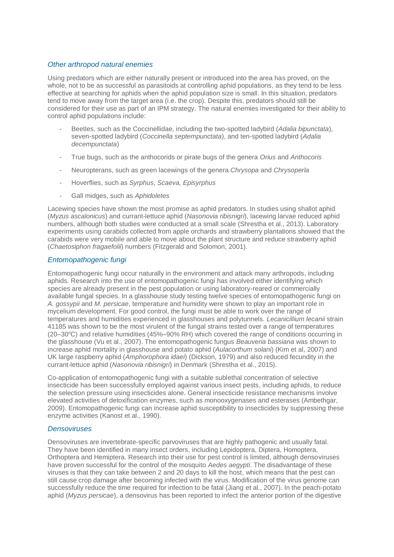### *Other arthropod natural enemies*

Using predators which are either naturally present or introduced into the area has proved, on the whole, not to be as successful as parasitoids at controlling aphid populations, as they tend to be less effective at searching for aphids when the aphid population size is small. In this situation, predators tend to move away from the target area (i.e. the crop). Despite this, predators should still be considered for their use as part of an IPM strategy. The natural enemies investigated for their ability to control aphid populations include:

- Beetles, such as the Coccinellidae, including the two-spotted ladybird (*Adalia bipunctata*), seven-spotted ladybird (*Coccinella septempunctata*), and ten-spotted ladybird (*Adalia decempunctata*)
- True bugs, such as the anthocorids or pirate bugs of the genera *Orius* and *Anthocoris*
- Neuropterans, such as green lacewings of the genera *Chrysopa* and *Chrysoperla*
- Hoverflies, such as *Syrphus*, *Scaeva, Episyrphus*
- Gall midges, such as *Aphidoletes*

Lacewing species have shown the most promise as aphid predators. In studies using shallot aphid (*Myzus ascalonicus*) and currant-lettuce aphid (*Nasonovia ribisnigri*), lacewing larvae reduced aphid numbers, although both studies were conducted at a small scale (Shrestha et al., 2013). Laboratory experiments using carabids collected from apple orchards and strawberry plantations showed that the carabids were very mobile and able to move about the plant structure and reduce strawberry aphid (*Chaetosiphon fragaefolii*) numbers (Fitzgerald and Solomon, 2001).

# *Entomopathogenic fungi*

Entomopathogenic fungi occur naturally in the environment and attack many arthropods, including aphids. Research into the use of entomopathogenic fungi has involved either identifying which species are already present in the pest population or using laboratory-reared or commercially available fungal species. In a glasshouse study testing twelve species of entomopathogenic fungi on *A. gossypii* and *M. persicae*, temperature and humidity were shown to play an important role in mycelium development. For good control, the fungi must be able to work over the range of temperatures and humidities experienced in glasshouses and polytunnels. *Lecanicillium lecanii* strain 41185 was shown to be the most virulent of the fungal strains tested over a range of temperatures  $(20-30\degree C)$  and relative humidities  $(45\degree-90\% \text{ RH})$  which covered the range of conditions occurring in the glasshouse (Vu et al., 2007). The entomopathogenic fungus *Beauveria bassiana* was shown to increase aphid mortality in glasshouse and potato aphid (*Aulacorthum solani*) (Kim et al, 2007) and UK large raspberry aphid (*Amphorophora idaei*) (Dickson, 1979) and also reduced fecundity in the currant-lettuce aphid (*Nasonovia ribisnigri*) in Denmark (Shrestha et al., 2015).

Co-application of entomopathogenic fungi with a suitable sublethal concentration of selective insecticide has been successfully employed against various insect pests, including aphids, to reduce the selection pressure using insecticides alone. General insecticide resistance mechanisms involve elevated activities of detoxification enzymes, such as monooxygenases and esterases (Ambethgar, 2009). Entomopathogenic fungi can increase aphid susceptibility to insecticides by suppressing these enzyme activities (Kanost et al., 1990).

### *Densoviruses*

Densoviruses are invertebrate-specific parvoviruses that are highly pathogenic and usually fatal. They have been identified in many insect orders, including Lepidoptera, Diptera, Homoptera, Orthoptera and Hemiptera. Research into their use for pest control is limited, although densoviruses have proven successful for the control of the mosquito *Aedes aegypti*. The disadvantage of these viruses is that they can take between 2 and 20 days to kill the host, which means that the pest can still cause crop damage after becoming infected with the virus. Modification of the virus genome can successfully reduce the time required for infection to be fatal (Jiang et al., 2007). In the peach-potato aphid (*Myzus persicae*), a densovirus has been reported to infect the anterior portion of the digestive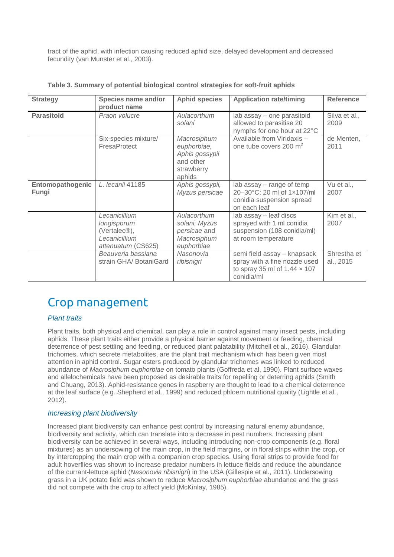tract of the aphid, with infection causing reduced aphid size, delayed development and decreased fecundity (van Munster et al., 2003).

| <b>Strategy</b>           | Species name and/or<br>product name                                                              | <b>Aphid species</b>                                                              | <b>Application rate/timing</b>                                                                                    | <b>Reference</b>         |
|---------------------------|--------------------------------------------------------------------------------------------------|-----------------------------------------------------------------------------------|-------------------------------------------------------------------------------------------------------------------|--------------------------|
| <b>Parasitoid</b>         | Praon volucre                                                                                    | Aulacorthum<br>solani                                                             | lab assay - one parasitoid<br>allowed to parasitise 20<br>nymphs for one hour at 22°C                             | Silva et al.,<br>2009    |
|                           | Six-species mixture/<br>FresaProtect                                                             | Macrosiphum<br>euphorbiae,<br>Aphis gossypii<br>and other<br>strawberry<br>aphids | Available from Viridaxis -<br>one tube covers 200 m <sup>2</sup>                                                  | de Menten,<br>2011       |
| Entomopathogenic<br>Fungi | L. lecanii 41185                                                                                 | Aphis gossypii,<br>Myzus persicae                                                 | lab assay – range of temp<br>20-30°C; 20 ml of 1x107/ml<br>conidia suspension spread<br>on each leaf              | Vu et al.,<br>2007       |
|                           | Lecanicillium<br>longisporum<br>(Vertalec <sup>®</sup> ),<br>Lecanicillium<br>attenuatum (CS625) | Aulacorthum<br>solani, Myzus<br>persicae and<br>Macrosiphum<br>euphorbiae         | lab assay - leaf discs<br>sprayed with 1 ml conidia<br>suspension (108 conidia/ml)<br>at room temperature         | Kim et al.,<br>2007      |
|                           | Beauveria bassiana<br>strain GHA/ BotaniGard                                                     | Nasonovia<br>ribisnigri                                                           | semi field assay - knapsack<br>spray with a fine nozzle used<br>to spray 35 ml of $1.44 \times 107$<br>conidia/ml | Shrestha et<br>al., 2015 |

**Table 3. Summary of potential biological control strategies for soft-fruit aphids**

# Crop management

# *Plant traits*

Plant traits, both physical and chemical, can play a role in control against many insect pests, including aphids. These plant traits either provide a physical barrier against movement or feeding, chemical deterrence of pest settling and feeding, or reduced plant palatability (Mitchell et al., 2016). Glandular trichomes, which secrete metabolites, are the plant trait mechanism which has been given most attention in aphid control. Sugar esters produced by glandular trichomes was linked to reduced abundance of *Macrosiphum euphorbiae* on tomato plants (Goffreda et al, 1990). Plant surface waxes and allelochemicals have been proposed as desirable traits for repelling or deterring aphids (Smith and Chuang, 2013). Aphid-resistance genes in raspberry are thought to lead to a chemical deterrence at the leaf surface (e.g. Shepherd et al., 1999) and reduced phloem nutritional quality (Lightle et al., 2012).

### *Increasing plant biodiversity*

Increased plant biodiversity can enhance pest control by increasing natural enemy abundance, biodiversity and activity, which can translate into a decrease in pest numbers. Increasing plant biodiversity can be achieved in several ways, including introducing non-crop components (e.g. floral mixtures) as an undersowing of the main crop, in the field margins, or in floral strips within the crop, or by intercropping the main crop with a companion crop species. Using floral strips to provide food for adult hoverflies was shown to increase predator numbers in lettuce fields and reduce the abundance of the currant-lettuce aphid (*Nasonovia ribisnigri*) in the USA (Gillespie et al., 2011). Undersowing grass in a UK potato field was shown to reduce *Macrosiphum euphorbiae* abundance and the grass did not compete with the crop to affect yield (McKinlay, 1985).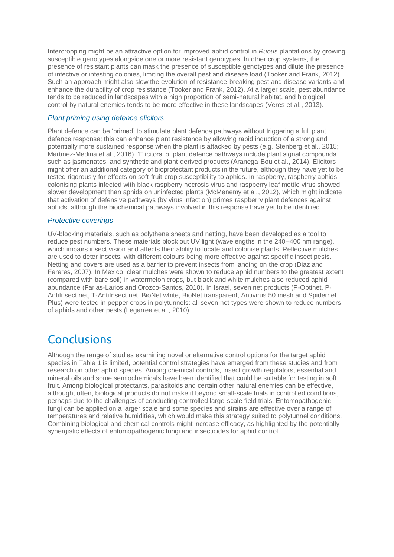Intercropping might be an attractive option for improved aphid control in *Rubus* plantations by growing susceptible genotypes alongside one or more resistant genotypes. In other crop systems, the presence of resistant plants can mask the presence of susceptible genotypes and dilute the presence of infective or infesting colonies, limiting the overall pest and disease load (Tooker and Frank, 2012). Such an approach might also slow the evolution of resistance-breaking pest and disease variants and enhance the durability of crop resistance (Tooker and Frank, 2012). At a larger scale, pest abundance tends to be reduced in landscapes with a high proportion of semi-natural habitat, and biological control by natural enemies tends to be more effective in these landscapes (Veres et al., 2013).

### *Plant priming using defence elicitors*

Plant defence can be 'primed' to stimulate plant defence pathways without triggering a full plant defence response; this can enhance plant resistance by allowing rapid induction of a strong and potentially more sustained response when the plant is attacked by pests (e.g. Stenberg et al., 2015; Martinez-Medina et al., 2016). 'Elicitors' of plant defence pathways include plant signal compounds such as jasmonates, and synthetic and plant-derived products (Aranega-Bou et al., 2014). Elicitors might offer an additional category of bioprotectant products in the future, although they have yet to be tested rigorously for effects on soft-fruit-crop susceptibility to aphids. In raspberry, raspberry aphids colonising plants infected with black raspberry necrosis virus and raspberry leaf mottle virus showed slower development than aphids on uninfected plants (McMenemy et al., 2012), which might indicate that activation of defensive pathways (by virus infection) primes raspberry plant defences against aphids, although the biochemical pathways involved in this response have yet to be identified.

### *Protective coverings*

UV-blocking materials, such as polythene sheets and netting, have been developed as a tool to reduce pest numbers. These materials block out UV light (wavelengths in the 240–400 nm range), which impairs insect vision and affects their ability to locate and colonise plants. Reflective mulches are used to deter insects, with different colours being more effective against specific insect pests. Netting and covers are used as a barrier to prevent insects from landing on the crop (Diaz and Fereres, 2007). In Mexico, clear mulches were shown to reduce aphid numbers to the greatest extent (compared with bare soil) in watermelon crops, but black and white mulches also reduced aphid abundance (Farias‐Larios and Orozco‐Santos, 2010). In Israel, seven net products (P‐Optinet, P‐ AntiInsect net, T‐AntiInsect net, BioNet white, BioNet transparent, Antivirus 50 mesh and Spidernet Plus) were tested in pepper crops in polytunnels: all seven net types were shown to reduce numbers of aphids and other pests (Legarrea et al., 2010).

# Conclusions

Although the range of studies examining novel or alternative control options for the target aphid species in Table 1 is limited, potential control strategies have emerged from these studies and from research on other aphid species. Among chemical controls, insect growth regulators, essential and mineral oils and some semiochemicals have been identified that could be suitable for testing in soft fruit. Among biological protectants, parasitoids and certain other natural enemies can be effective, although, often, biological products do not make it beyond small-scale trials in controlled conditions, perhaps due to the challenges of conducting controlled large-scale field trials. Entomopathogenic fungi can be applied on a larger scale and some species and strains are effective over a range of temperatures and relative humidities, which would make this strategy suited to polytunnel conditions. Combining biological and chemical controls might increase efficacy, as highlighted by the potentially synergistic effects of entomopathogenic fungi and insecticides for aphid control.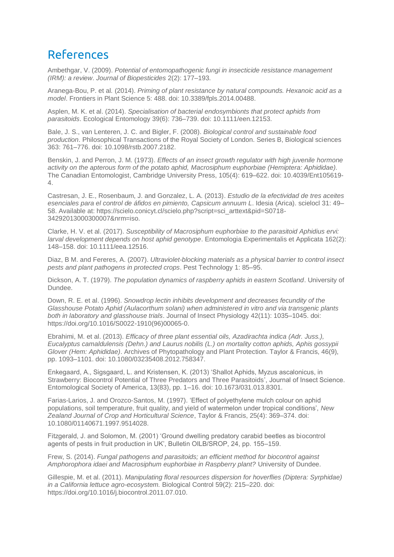# References

Ambethgar, V. (2009). *Potential of entomopathogenic fungi in insecticide resistance management (IRM): a review*. *Journal of Biopesticides* 2(2): 177–193.

Aranega-Bou, P. et al*.* (2014). *Priming of plant resistance by natural compounds. Hexanoic acid as a model*. Frontiers in Plant Science 5: 488. doi: 10.3389/fpls.2014.00488.

Asplen, M. K. et al. (2014). *Specialisation of bacterial endosymbionts that protect aphids from parasitoids*. Ecological Entomology 39(6): 736–739. doi: 10.1111/een.12153.

Bale, J. S., van Lenteren, J. C. and Bigler, F. (2008). *Biological control and sustainable food production*. Philosophical Transactions of the Royal Society of London. Series B, Biological sciences 363: 761–776. doi: 10.1098/rstb.2007.2182.

Benskin, J. and Perron, J. M. (1973). *Effects of an insect growth regulator with high juvenile hormone activity on the apterous form of the potato aphid, Macrosiphum euphorbiae (Hemiptera: Aphididae).* The Canadian Entomologist, Cambridge University Press, 105(4): 619–622. doi: 10.4039/Ent105619- 4.

Castresan, J. E., Rosenbaum, J. and Gonzalez, L. A. (2013). *Estudio de la efectividad de tres aceites esenciales para el control de áfidos en pimiento, Capsicum annuum L*. Idesia (Arica). scielocl 31: 49– 58. Available at: https://scielo.conicyt.cl/scielo.php?script=sci\_arttext&pid=S0718- 34292013000300007&nrm=iso.

Clarke, H. V. et al. (2017). *Susceptibility of Macrosiphum euphorbiae to the parasitoid Aphidius ervi: larval development depends on host aphid genotype*. Entomologia Experimentalis et Applicata 162(2): 148–158. doi: 10.1111/eea.12516.

Diaz, B M. and Fereres, A. (2007). *Ultraviolet-blocking materials as a physical barrier to control insect pests and plant pathogens in protected crops*. Pest Technology 1: 85–95.

Dickson, A. T. (1979). *The population dynamics of raspberry aphids in eastern Scotland*. University of Dundee.

Down, R. E. et al. (1996). *Snowdrop lectin inhibits development and decreases fecundity of the Glasshouse Potato Aphid (Aulacorthum solani) when administered in vitro and via transgenic plants both in laboratory and glasshouse trials*. Journal of Insect Physiology 42(11): 1035–1045. doi: https://doi.org/10.1016/S0022-1910(96)00065-0.

Ebrahimi, M. et al. (2013). *Efficacy of three plant essential oils, Azadirachta indica (Adr. Juss.), Eucalyptus camaldulensis (Dehn.) and Laurus nobilis (L.) on mortality cotton aphids, Aphis gossypii Glover (Hem: Aphididae)*. Archives of Phytopathology and Plant Protection. Taylor & Francis, 46(9), pp. 1093–1101. doi: 10.1080/03235408.2012.758347.

Enkegaard, A., Sigsgaard, L. and Kristensen, K. (2013) 'Shallot Aphids, Myzus ascalonicus, in Strawberry: Biocontrol Potential of Three Predators and Three Parasitoids', Journal of Insect Science. Entomological Society of America, 13(83), pp. 1–16. doi: 10.1673/031.013.8301.

Farias‐Larios, J. and Orozco‐Santos, M. (1997). 'Effect of polyethylene mulch colour on aphid populations, soil temperature, fruit quality, and yield of watermelon under tropical conditions', *New Zealand Journal of Crop and Horticultural Science*, Taylor & Francis, 25(4): 369–374. doi: 10.1080/01140671.1997.9514028.

Fitzgerald, J. and Solomon, M. (2001) 'Ground dwelling predatory carabid beetles as biocontrol agents of pests in fruit production in UK', Bulletin OILB/SROP, 24, pp. 155–159.

Frew, S. (2014). *Fungal pathogens and parasitoids; an efficient method for biocontrol against Amphorophora idaei and Macrosiphum euphorbiae in Raspberry plant?* University of Dundee.

Gillespie, M. et al. (2011). *Manipulating floral resources dispersion for hoverflies (Diptera: Syrphidae) in a California lettuce agro-ecosystem.* Biological Control 59(2): 215–220. doi: https://doi.org/10.1016/j.biocontrol.2011.07.010.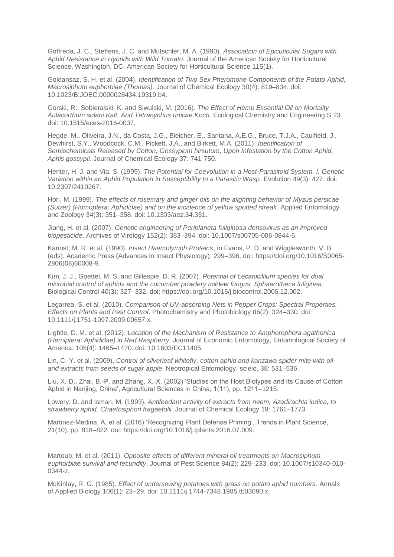Goffreda, J. C., Steffens, J. C. and Mutschler, M. A. (1990). *Association of Epicuticular Sugars with Aphid Resistance in Hybrids with Wild Tomato*. Journal of the American Society for Horticultural Science, Washington, DC: American Society for Horticultural Science 115(1).

Goldansaz, S. H. et al. (2004). *Identification of Two Sex Pheromone Components of the Potato Aphid, Macrosiphum euphorbiae (Thomas).* Journal of Chemical Ecology 30(4): 819–834. doi: 10.1023/B:JOEC.0000028434.19319.b4.

Gorski, R., Sobieralski, K. and Siwulski, M. (2016). *The Effect of Hemp Essential Oil on Mortality Aulacorthum solani Kalt. And Tetranychus urticae Koch.* Ecological Chemistry and Engineering S 23. doi: 10.1515/eces-2016-0037.

Hegde, M., Oliveira, J.N., da Costa, J.G., Bleicher, E., Santana, A.E.G., Bruce, T.J.A., Caulfield, J., Dewhirst, S.Y., Woodcock, C.M., Pickett, J.A., and Birkett, M.A. (2011). *Identification of Semiochemicals Released by Cotton, Gossypium hirsutum, Upon Infestation by the Cotton Aphid, Aphis gossypii.* Journal of Chemical Ecology 37: 741-750.

Henter, H. J. and Via, S. (1995). *The Potential for Coevolution in a Host-Parasitoid System. I. Genetic Variation within an Aphid Population in Susceptibility to a Parasitic Wasp*. Evolution 49(3): 427. doi: 10.2307/2410267.

Hori, M. (1999). *The effects of rosemary and ginger oils on the alighting behavior of Myzus persicae (Sulzer) (Homoptera: Aphididae) and on the incidence of yellow spotted streak*. Applied Entomology and Zoology 34(3): 351–358. doi: 10.1303/aez.34.351.

Jiang, H. et al*.* (2007). *Genetic engineering of Periplaneta fuliginosa densovirus as an improved biopesticide*. Archives of Virology 152(2): 383–394. doi: 10.1007/s00705-006-0844-6.

Kanost, M. R. et al*.* (1990). *Insect Haemolymph Proteins*, in Evans, P. D. and Wigglesworth, V. B. (eds). Academic Press (Advances in Insect Physiology): 299–396. doi: https://doi.org/10.1016/S0065- 2806(08)60008-9.

Kim, J. J., Goettel, M. S. and Gillespie, D. R. (2007). *Potential of Lecanicillium species for dual microbial control of aphids and the cucumber powdery mildew fungus, Sphaerotheca fuliginea*. Biological Control 40(3): 327–332. doi: https://doi.org/10.1016/j.biocontrol.2006.12.002.

Legarrea, S. et al*.* (2010). *Comparison of UV-absorbing Nets in Pepper Crops: Spectral Properties, Effects on Plants and Pest Control*. Photochemistry and Photobiology 86(2): 324–330. doi: 10.1111/j.1751-1097.2009.00657.x.

Lightle, D. M. et al. (2012). *Location of the Mechanism of Resistance to Amphorophora agathonica (Hemiptera: Aphididae) in Red Raspberry*. Journal of Economic Entomology, Entomological Society of America, 105(4): 1465–1470. doi: 10.1603/EC11405.

Lin, C.-Y. et al. (2009). *Control of silverleaf whitefly, cotton aphid and kanzawa spider mite with oil and extracts from seeds of sugar apple*. Neotropical Entomology. scielo, 38: 531–536.

Liu, X.-D., Zhai, B.-P. and Zhang, X.-X. (2002) 'Studies on the Host Biotypes and Its Cause of Cotton Aphid in Nanjing, China', Agricultural Sciences in China, 1(11), pp. 1211–1215.

Lowery, D. and Isman, M. (1993). *Antifeedant activity of extracts from neem, Azadirachta indica, to strawberry aphid, Chaetosiphon fragaefolii.* Journal of Chemical Ecology 19: 1761–1773.

Martinez-Medina, A. et al. (2016) 'Recognizing Plant Defense Priming', Trends in Plant Science, 21(10), pp. 818–822. doi: https://doi.org/10.1016/j.tplants.2016.07.009.

Martoub, M. et al. (2011). *Opposite effects of different mineral oil treatments on Macrosiphum euphorbiae survival and fecundity*. Journal of Pest Science 84(2): 229–233. doi: 10.1007/s10340-010- 0344-z.

McKinlay, R. G. (1985). *Effect of undersowing potatoes with grass on potato aphid numbers*. Annals of Applied Biology 106(1): 23–29. doi: 10.1111/j.1744-7348.1985.tb03090.x.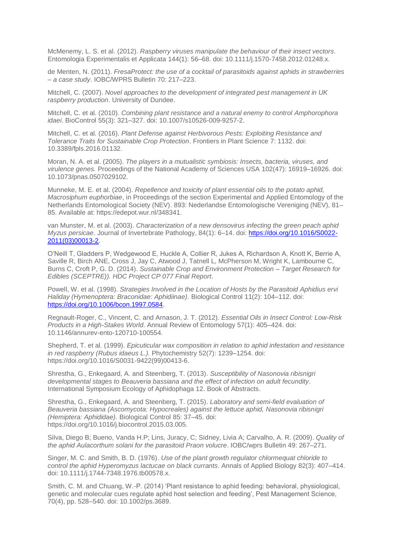McMenemy, L. S. et al. (2012). *Raspberry viruses manipulate the behaviour of their insect vectors*. Entomologia Experimentalis et Applicata 144(1): 56–68. doi: 10.1111/j.1570-7458.2012.01248.x.

de Menten, N. (2011). *FresaProtect: the use of a cocktail of parasitoids against aphids in strawberries – a case study*. IOBC/WPRS Bulletin 70: 217–223.

Mitchell, C. (2007). *Novel approaches to the development of integrated pest management in UK raspberry production*. University of Dundee.

Mitchell, C. et al*.* (2010). *Combining plant resistance and a natural enemy to control Amphorophora idaei*. BioControl 55(3): 321–327. doi: 10.1007/s10526-009-9257-2.

Mitchell, C. et al*.* (2016). *Plant Defense against Herbivorous Pests: Exploiting Resistance and Tolerance Traits for Sustainable Crop Protection*. Frontiers in Plant Science 7: 1132. doi: 10.3389/fpls.2016.01132.

Moran, N. A. et al. (2005). *The players in a mutualistic symbiosis: Insects, bacteria, viruses, and virulence genes.* Proceedings of the National Academy of Sciences USA 102(47): 16919–16926. doi: 10.1073/pnas.0507029102.

Munneke, M. E. et al. (2004). *Repellence and toxicity of plant essential oils to the potato aphid, Macrosiphum euphorbiae*, in Proceedings of the section Experimental and Applied Entomology of the Netherlands Entomological Society (NEV). 893: Nederlandse Entomologische Vereniging (NEV), 81– 85. Available at: https://edepot.wur.nl/348341.

van Munster, M. et al. (2003). *Characterization of a new densovirus infecting the green peach aphid Myzus persicae*. Journal of Invertebrate Pathology, 84(1): 6–14. doi[: https://doi.org/10.1016/S0022-](https://doi.org/10.1016/S0022-2011(03)00013-2) [2011\(03\)00013-2.](https://doi.org/10.1016/S0022-2011(03)00013-2)

O'Neill T, Gladders P, Wedgewood E, Huckle A, Collier R, Jukes A, Richardson A, Knott K, Berrie A, Saville R, Birch ANE, Cross J, Jay C, Atwood J, Tatnell L, McPherson M, Wright K, Lambourne C, Burns C, Croft P, G. D. (2014). *Sustainable Crop and Environment Protection – Target Research for Edibles (SCEPTRE)). HDC Project CP 077 Final Report*.

Powell, W. et al. (1998). *Strategies Involved in the Location of Hosts by the Parasitoid Aphidius ervi Haliday (Hymenoptera: Braconidae: Aphidiinae).* Biological Control 11(2): 104–112. doi: [https://doi.org/10.1006/bcon.1997.0584.](https://doi.org/10.1006/bcon.1997.0584)

Regnault-Roger, C., Vincent, C. and Arnason, J. T. (2012). *Essential Oils in Insect Control: Low-Risk Products in a High-Stakes World*. Annual Review of Entomology 57(1): 405–424. doi: 10.1146/annurev-ento-120710-100554.

Shepherd, T. et al*.* (1999). *Epicuticular wax composition in relation to aphid infestation and resistance in red raspberry (Rubus idaeus L.).* Phytochemistry 52(7): 1239–1254. doi: https://doi.org/10.1016/S0031-9422(99)00413-6.

Shrestha, G., Enkegaard, A. and Steenberg, T. (2013). *Susceptibility of Nasonovia ribisnigri developmental stages to Beauveria bassiana and the effect of infection on adult fecundity*. International Symposium Ecology of Aphidophaga 12. Book of Abstracts.

Shrestha, G., Enkegaard, A. and Steenberg, T. (2015). *Laboratory and semi-field evaluation of Beauveria bassiana (Ascomycota: Hypocreales) against the lettuce aphid, Nasonovia ribisnigri (Hemiptera: Aphididae).* Biological Control 85: 37–45. doi: https://doi.org/10.1016/j.biocontrol.2015.03.005.

Silva, Diego B; Bueno, Vanda H.P; Lins, Juracy, C; Sidney, Livia A; Carvalho, A. R. (2009). *Quality of the aphid Aulacorthum solani for the parasitoid Praon volucre*. IOBC/wprs Bulletin 49: 267–271.

Singer, M. C. and Smith, B. D. (1976). *Use of the plant growth regulator chlormequat chloride to control the aphid Hyperomyzus lactucae on black currants*. Annals of Applied Biology 82(3): 407–414. doi: 10.1111/j.1744-7348.1976.tb00578.x.

Smith, C. M. and Chuang, W.-P. (2014) 'Plant resistance to aphid feeding: behavioral, physiological, genetic and molecular cues regulate aphid host selection and feeding', Pest Management Science, 70(4), pp. 528–540. doi: 10.1002/ps.3689.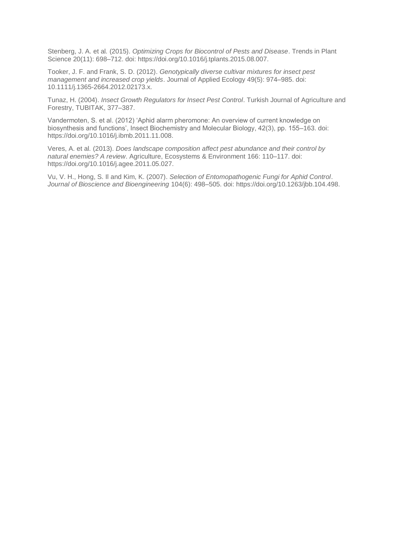Stenberg, J. A. et al*.* (2015). *Optimizing Crops for Biocontrol of Pests and Disease*. Trends in Plant Science 20(11): 698–712. doi: https://doi.org/10.1016/j.tplants.2015.08.007.

Tooker, J. F. and Frank, S. D. (2012). *Genotypically diverse cultivar mixtures for insect pest management and increased crop yields*. Journal of Applied Ecology 49(5): 974–985. doi: 10.1111/j.1365-2664.2012.02173.x.

Tunaz, H. (2004). *Insect Growth Regulators for Insect Pest Control*. Turkish Journal of Agriculture and Forestry, TUBITAK, 377–387.

Vandermoten, S. et al. (2012) 'Aphid alarm pheromone: An overview of current knowledge on biosynthesis and functions', Insect Biochemistry and Molecular Biology, 42(3), pp. 155–163. doi: https://doi.org/10.1016/j.ibmb.2011.11.008.

Veres, A. et al*.* (2013). *Does landscape composition affect pest abundance and their control by natural enemies? A review*. Agriculture, Ecosystems & Environment 166: 110–117. doi: https://doi.org/10.1016/j.agee.2011.05.027.

Vu, V. H., Hong, S. Il and Kim, K. (2007). *Selection of Entomopathogenic Fungi for Aphid Control*. *Journal of Bioscience and Bioengineering* 104(6): 498–505. doi: https://doi.org/10.1263/jbb.104.498.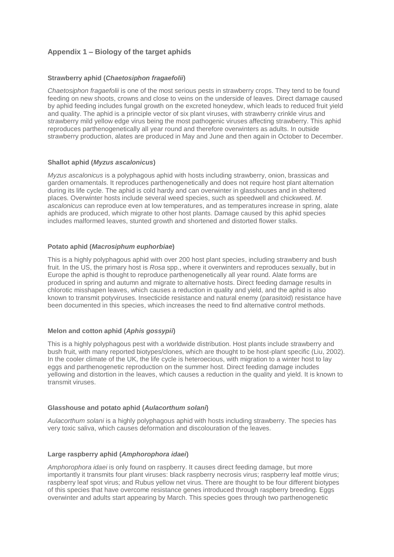# **Appendix 1 – Biology of the target aphids**

### **Strawberry aphid (***Chaetosiphon fragaefolii***)**

*Chaetosiphon fragaefolii* is one of the most serious pests in strawberry crops. They tend to be found feeding on new shoots, crowns and close to veins on the underside of leaves. Direct damage caused by aphid feeding includes fungal growth on the excreted honeydew, which leads to reduced fruit yield and quality. The aphid is a principle vector of six plant viruses, with strawberry crinkle virus and strawberry mild yellow edge virus being the most pathogenic viruses affecting strawberry. This aphid reproduces parthenogenetically all year round and therefore overwinters as adults. In outside strawberry production, alates are produced in May and June and then again in October to December.

### **Shallot aphid (***Myzus ascalonicus***)**

*Myzus ascalonicus* is a polyphagous aphid with hosts including strawberry, onion, brassicas and garden ornamentals. It reproduces parthenogenetically and does not require host plant alternation during its life cycle. The aphid is cold hardy and can overwinter in glasshouses and in sheltered places. Overwinter hosts include several weed species, such as speedwell and chickweed. *M. ascalonicus* can reproduce even at low temperatures, and as temperatures increase in spring, alate aphids are produced, which migrate to other host plants. Damage caused by this aphid species includes malformed leaves, stunted growth and shortened and distorted flower stalks.

### **Potato aphid (***Macrosiphum euphorbiae***)**

This is a highly polyphagous aphid with over 200 host plant species, including strawberry and bush fruit. In the US, the primary host is *Rosa* spp., where it overwinters and reproduces sexually, but in Europe the aphid is thought to reproduce parthenogenetically all year round. Alate forms are produced in spring and autumn and migrate to alternative hosts. Direct feeding damage results in chlorotic misshapen leaves, which causes a reduction in quality and yield, and the aphid is also known to transmit potyviruses. Insecticide resistance and natural enemy (parasitoid) resistance have been documented in this species, which increases the need to find alternative control methods.

### **Melon and cotton aphid (***Aphis gossypii***)**

This is a highly polyphagous pest with a worldwide distribution. Host plants include strawberry and bush fruit, with many reported biotypes/clones, which are thought to be host-plant specific (Liu, 2002). In the cooler climate of the UK, the life cycle is heteroecious, with migration to a winter host to lay eggs and parthenogenetic reproduction on the summer host. Direct feeding damage includes yellowing and distortion in the leaves, which causes a reduction in the quality and yield. It is known to transmit viruses.

#### **Glasshouse and potato aphid (***Aulacorthum solani***)**

*Aulacorthum solani* is a highly polyphagous aphid with hosts including strawberry. The species has very toxic saliva, which causes deformation and discolouration of the leaves.

#### **Large raspberry aphid (***Amphorophora idaei***)**

*Amphorophora idaei* is only found on raspberry. It causes direct feeding damage, but more importantly it transmits four plant viruses: black raspberry necrosis virus; raspberry leaf mottle virus; raspberry leaf spot virus; and Rubus yellow net virus. There are thought to be four different biotypes of this species that have overcome resistance genes introduced through raspberry breeding. Eggs overwinter and adults start appearing by March. This species goes through two parthenogenetic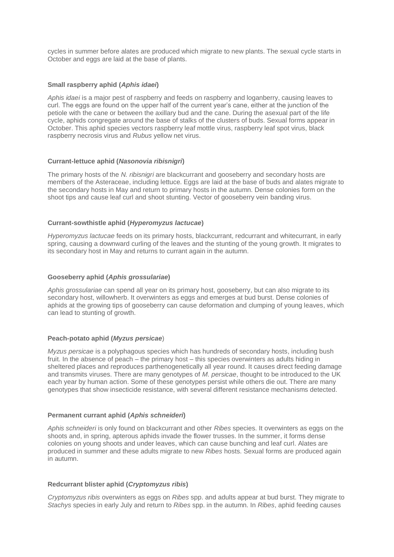cycles in summer before alates are produced which migrate to new plants. The sexual cycle starts in October and eggs are laid at the base of plants.

#### **Small raspberry aphid (***Aphis idaei***)**

*Aphis idaei* is a major pest of raspberry and feeds on raspberry and loganberry, causing leaves to curl. The eggs are found on the upper half of the current year's cane, either at the junction of the petiole with the cane or between the axillary bud and the cane. During the asexual part of the life cycle, aphids congregate around the base of stalks of the clusters of buds. Sexual forms appear in October. This aphid species vectors raspberry leaf mottle virus, raspberry leaf spot virus, black raspberry necrosis virus and *Rubus* yellow net virus.

#### **Currant-lettuce aphid (***Nasonovia ribisnigri***)**

The primary hosts of the *N. ribisnigri* are blackcurrant and gooseberry and secondary hosts are members of the Asteraceae, including lettuce. Eggs are laid at the base of buds and alates migrate to the secondary hosts in May and return to primary hosts in the autumn. Dense colonies form on the shoot tips and cause leaf curl and shoot stunting. Vector of gooseberry vein banding virus.

#### **Currant-sowthistle aphid (***Hyperomyzus lactucae***)**

*Hyperomyzus lactucae* feeds on its primary hosts, blackcurrant, redcurrant and whitecurrant, in early spring, causing a downward curling of the leaves and the stunting of the young growth. It migrates to its secondary host in May and returns to currant again in the autumn.

#### **Gooseberry aphid (***Aphis grossulariae***)**

*Aphis grossulariae* can spend all year on its primary host, gooseberry, but can also migrate to its secondary host, willowherb. It overwinters as eggs and emerges at bud burst. Dense colonies of aphids at the growing tips of gooseberry can cause deformation and clumping of young leaves, which can lead to stunting of growth.

### **Peach-potato aphid (***Myzus persicae*)

*Myzus persicae* is a polyphagous species which has hundreds of secondary hosts, including bush fruit. In the absence of peach – the primary host – this species overwinters as adults hiding in sheltered places and reproduces parthenogenetically all year round. It causes direct feeding damage and transmits viruses. There are many genotypes of *M. persicae*, thought to be introduced to the UK each year by human action. Some of these genotypes persist while others die out. There are many genotypes that show insecticide resistance, with several different resistance mechanisms detected.

#### **Permanent currant aphid (***Aphis schneideri***)**

*Aphis schneideri* is only found on blackcurrant and other *Ribes* species. It overwinters as eggs on the shoots and, in spring, apterous aphids invade the flower trusses. In the summer, it forms dense colonies on young shoots and under leaves, which can cause bunching and leaf curl. Alates are produced in summer and these adults migrate to new *Ribes* hosts. Sexual forms are produced again in autumn.

#### **Redcurrant blister aphid (***Cryptomyzus ribis***)**

*Cryptomyzus ribis* overwinters as eggs on *Ribes* spp. and adults appear at bud burst. They migrate to *Stachys* species in early July and return to *Ribes* spp. in the autumn. In *Ribes*, aphid feeding causes